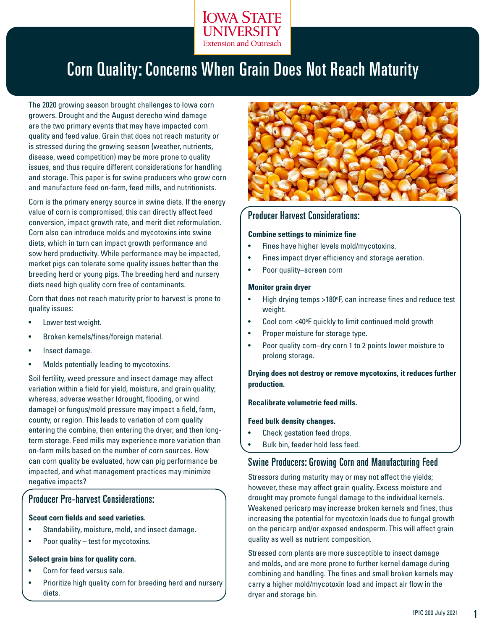

# Corn Quality: Concerns When Grain Does Not Reach Maturity

The 2020 growing season brought challenges to Iowa corn growers. Drought and the August derecho wind damage are the two primary events that may have impacted corn quality and feed value. Grain that does not reach maturity or is stressed during the growing season (weather, nutrients, disease, weed competition) may be more prone to quality issues, and thus require different considerations for handling and storage. This paper is for swine producers who grow corn and manufacture feed on-farm, feed mills, and nutritionists.

Corn is the primary energy source in swine diets. If the energy value of corn is compromised, this can directly affect feed conversion, impact growth rate, and merit diet reformulation. Corn also can introduce molds and mycotoxins into swine diets, which in turn can impact growth performance and sow herd productivity. While performance may be impacted, market pigs can tolerate some quality issues better than the breeding herd or young pigs. The breeding herd and nursery diets need high quality corn free of contaminants.

Corn that does not reach maturity prior to harvest is prone to quality issues:

- Lower test weight.
- Broken kernels/fines/foreign material.
- Insect damage.
- Molds potentially leading to mycotoxins.

Soil fertility, weed pressure and insect damage may affect variation within a field for yield, moisture, and grain quality; whereas, adverse weather (drought, flooding, or wind damage) or fungus/mold pressure may impact a field, farm, county, or region. This leads to variation of corn quality entering the combine, then entering the dryer, and then longterm storage. Feed mills may experience more variation than on-farm mills based on the number of corn sources. How can corn quality be evaluated, how can pig performance be impacted, and what management practices may minimize negative impacts?

## Producer Pre-harvest Considerations:

#### **Scout corn fields and seed varieties.**

- Standability, moisture, mold, and insect damage.
- Poor quality test for mycotoxins.

#### **Select grain bins for quality corn.**

- Corn for feed versus sale.
- Prioritize high quality corn for breeding herd and nursery diets.



#### Producer Harvest Considerations:

#### **Combine settings to minimize fine**

- Fines have higher levels mold/mycotoxins.
- Fines impact dryer efficiency and storage aeration.
- Poor quality–screen corn

#### **Monitor grain dryer**

- High drying temps >180°F, can increase fines and reduce test weight.
- Cool corn <40°F quickly to limit continued mold growth
- Proper moisture for storage type.
- Poor quality corn–dry corn 1 to 2 points lower moisture to prolong storage.

#### **Drying does not destroy or remove mycotoxins, it reduces further production.**

#### **Recalibrate volumetric feed mills.**

#### **Feed bulk density changes.**

- Check gestation feed drops.
- Bulk bin, feeder hold less feed.

# Swine Producers: Growing Corn and Manufacturing Feed

Stressors during maturity may or may not affect the yields; however, these may affect grain quality. Excess moisture and drought may promote fungal damage to the individual kernels. Weakened pericarp may increase broken kernels and fines, thus increasing the potential for mycotoxin loads due to fungal growth on the pericarp and/or exposed endosperm. This will affect grain quality as well as nutrient composition.

Stressed corn plants are more susceptible to insect damage and molds, and are more prone to further kernel damage during combining and handling. The fines and small broken kernels may carry a higher mold/mycotoxin load and impact air flow in the dryer and storage bin.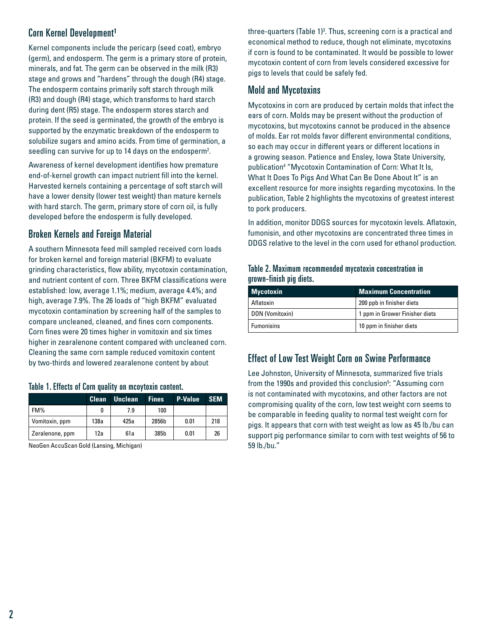# Corn Kernel Development<sup>1</sup>

Kernel components include the pericarp (seed coat), embryo (germ), and endosperm. The germ is a primary store of protein, minerals, and fat. The germ can be observed in the milk (R3) stage and grows and "hardens" through the dough (R4) stage. The endosperm contains primarily soft starch through milk (R3) and dough (R4) stage, which transforms to hard starch during dent (R5) stage. The endosperm stores starch and protein. If the seed is germinated, the growth of the embryo is supported by the enzymatic breakdown of the endosperm to solubilize sugars and amino acids. From time of germination, a seedling can survive for up to 14 days on the endosperm<sup>2</sup>.

Awareness of kernel development identifies how premature end-of-kernel growth can impact nutrient fill into the kernel. Harvested kernels containing a percentage of soft starch will have a lower density (lower test weight) than mature kernels with hard starch. The germ, primary store of corn oil, is fully developed before the endosperm is fully developed.

# Broken Kernels and Foreign Material

A southern Minnesota feed mill sampled received corn loads for broken kernel and foreign material (BKFM) to evaluate grinding characteristics, flow ability, mycotoxin contamination, and nutrient content of corn. Three BKFM classifications were established: low, average 1.1%; medium, average 4.4%; and high, average 7.9%. The 26 loads of "high BKFM" evaluated mycotoxin contamination by screening half of the samples to compare uncleaned, cleaned, and fines corn components. Corn fines were 20 times higher in vomitoxin and six times higher in zearalenone content compared with uncleaned corn. Cleaning the same corn sample reduced vomitoxin content by two-thirds and lowered zearalenone content by about

#### Table 1. Effects of Corn quality on mcoytoxin content.

|                 | <b>Clean</b> | <b>Unclean</b> | <b>Fines</b> | <b>P-Value</b> | <b>SEM</b> |
|-----------------|--------------|----------------|--------------|----------------|------------|
| FM%             |              | 7.9            | 100          |                |            |
| Vomitoxin, ppm  | 138a         | 425a           | 2856b        | 0.01           | 218        |
| Zeralenone, ppm | 12a          | 61a            | 385b         | 0.01           | 26         |

NeoGen AccuScan Gold (Lansing, Michigan)

three-quarters (Table 1) $^3$ . Thus, screening corn is a practical and economical method to reduce, though not eliminate, mycotoxins if corn is found to be contaminated. It would be possible to lower mycotoxin content of corn from levels considered excessive for pigs to levels that could be safely fed.

# Mold and Mycotoxins

Mycotoxins in corn are produced by certain molds that infect the ears of corn. Molds may be present without the production of mycotoxins, but mycotoxins cannot be produced in the absence of molds. Ear rot molds favor different environmental conditions, so each may occur in different years or different locations in a growing season. Patience and Ensley, Iowa State University, publication4 "Mycotoxin Contamination of Corn: What It Is, What It Does To Pigs And What Can Be Done About It" is an excellent resource for more insights regarding mycotoxins. In the publication, Table 2 highlights the mycotoxins of greatest interest to pork producers.

In addition, monitor DDGS sources for mycotoxin levels. Aflatoxin, fumonisin, and other mycotoxins are concentrated three times in DDGS relative to the level in the corn used for ethanol production.

| Table 2. Maximum recommended mycotoxin concentration in |  |  |
|---------------------------------------------------------|--|--|
| grown-finish pig diets.                                 |  |  |

| <b>Mycotoxin</b>  | <b>Maximum Concentration</b>   |
|-------------------|--------------------------------|
| Aflatoxin         | 200 ppb in finisher diets      |
| DON (Vomitoxin)   | 1 ppm in Grower Finisher diets |
| <b>Fumonisins</b> | 10 ppm in finisher diets       |

# Effect of Low Test Weight Corn on Swine Performance

Lee Johnston, University of Minnesota, summarized five trials from the 1990s and provided this conclusion<sup>5</sup>: "Assuming corn is not contaminated with mycotoxins, and other factors are not compromising quality of the corn, low test weight corn seems to be comparable in feeding quality to normal test weight corn for pigs. It appears that corn with test weight as low as 45 lb./bu can support pig performance similar to corn with test weights of 56 to 59 lb./bu."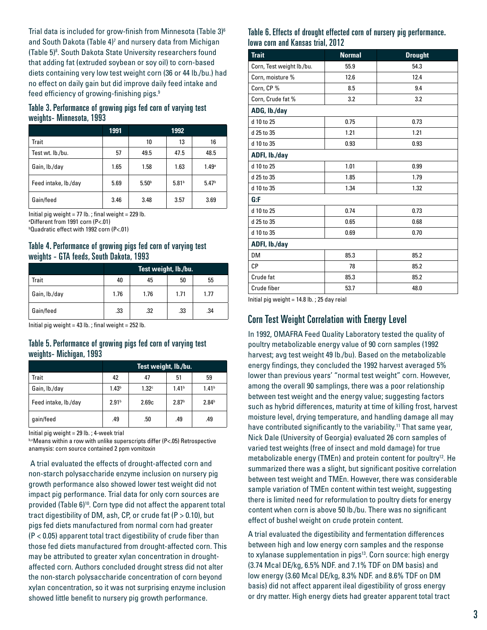Trial data is included for grow-finish from Minnesota (Table 3) $^{\rm 6}$ and South Dakota (Table 4)<sup>7</sup> and nursery data from Michigan (Table 5)<sup>8</sup>. South Dakota State University researchers found that adding fat (extruded soybean or soy oil) to corn-based diets containing very low test weight corn (36 or 44 lb./bu.) had no effect on daily gain but did improve daily feed intake and feed efficiency of growing-finishing pigs.<sup>9</sup>

#### Table 3. Performance of growing pigs fed corn of varying test weights- Minnesota, 1993

|                      | 1991 |                   | 1992              |                   |
|----------------------|------|-------------------|-------------------|-------------------|
| Trait                |      | 10                | 13                | 16                |
| Test wt. lb./bu.     | 57   | 49.5              | 47.5              | 48.5              |
| Gain, lb./day        | 1.65 | 1.58              | 1.63              | 1.49 <sup>a</sup> |
| Feed intake, lb./day | 5.69 | 5.50 <sup>b</sup> | 5.81 <sup>b</sup> | 5.47 <sup>b</sup> |
| Gain/feed            | 3.46 | 3.48              | 3.57              | 3.69              |

Initial pig weight =  $77$  lb.; final weight =  $229$  lb.

a Different from 1991 corn (P<.01)

b Quadratic effect with 1992 corn (P<.01)

#### Table 4. Performance of growing pigs fed corn of varying test weights - GTA feeds, South Dakota, 1993

|               | Test weight, lb./bu. |      |      |      |
|---------------|----------------------|------|------|------|
| Trait         | 40                   | 45   | 50   | 55   |
| Gain, lb./day | 1.76                 | 1.76 | 1.71 | 1.77 |
| Gain/feed     | .33                  | .32  | .33  | .34  |

Initial pig weight =  $43$  lb.; final weight =  $252$  lb.

## Table 5. Performance of growing pigs fed corn of varying test weights- Michigan, 1993

|                      | Test weight, Ib./bu. |                   |                   |                   |
|----------------------|----------------------|-------------------|-------------------|-------------------|
| Trait                | 42                   | 47                | 51                | 59                |
| Gain, lb./day        | 1.43 <sup>b</sup>    | 1.32 <sup>c</sup> | 1.41 <sup>b</sup> | 1.41 <sup>b</sup> |
| Feed intake, lb./day | 2.91 <sup>b</sup>    | 2.69c             | 2.87 <sup>b</sup> | 2.84 <sup>b</sup> |
| qain/feed            | .49                  | .50               | .49               | .49               |

Initial pig weight = 29 lb. ; 4-week trial

b,cMeans within a row with unlike superscripts differ (P<.05) Retrospective anamysis: corn source contained 2 ppm vomitoxin

 A trial evaluated the effects of drought-affected corn and non-starch polysaccharide enzyme inclusion on nursery pig growth performance also showed lower test weight did not impact pig performance. Trial data for only corn sources are provided (Table 6)<sup>10</sup>. Corn type did not affect the apparent total tract digestibility of DM, ash, CP, or crude fat (P > 0.10), but pigs fed diets manufactured from normal corn had greater (P < 0.05) apparent total tract digestibility of crude fiber than those fed diets manufactured from drought-affected corn. This may be attributed to greater xylan concentration in droughtaffected corn. Authors concluded drought stress did not alter the non-starch polysaccharide concentration of corn beyond xylan concentration, so it was not surprising enzyme inclusion showed little benefit to nursery pig growth performance.

#### Table 6. Effects of drought effected corn of nursery pig performance. Iowa corn and Kansas trial, 2012

| <b>Trait</b>              | <b>Normal</b> | <b>Drought</b> |  |  |  |  |
|---------------------------|---------------|----------------|--|--|--|--|
| Corn, Test weight lb./bu. | 55.9          | 54.3           |  |  |  |  |
| Corn, moisture %          | 12.6          | 12.4           |  |  |  |  |
| Corn, CP %                | 8.5           | 9.4            |  |  |  |  |
| Corn, Crude fat %         | 3.2           | 3.2            |  |  |  |  |
| ADG, lb./day              |               |                |  |  |  |  |
| d 10 to 25                | 0.75          | 0.73           |  |  |  |  |
| d 25 to 35                | 1.21          | 1.21           |  |  |  |  |
| d 10 to 35                | 0.93          | 0.93           |  |  |  |  |
| ADFI, Ib./day             |               |                |  |  |  |  |
| d 10 to 25                | 1.01          | 0.99           |  |  |  |  |
| d 25 to 35                | 1.85          | 1.79           |  |  |  |  |
| d 10 to 35                | 1.34          | 1.32           |  |  |  |  |
| G:F                       |               |                |  |  |  |  |
| d 10 to 25                | 0.74          | 0.73           |  |  |  |  |
| d 25 to 35                | 0.65          | 0.68           |  |  |  |  |
| d 10 to 35                | 0.69          | 0.70           |  |  |  |  |
| ADFI, Ib./day             |               |                |  |  |  |  |
| DM                        | 85.3          | 85.2           |  |  |  |  |
| СP                        | 78            | 85.2           |  |  |  |  |
| Crude fat                 | 85.3          | 85.2           |  |  |  |  |
| Crude fiber               | 53.7          | 48.0           |  |  |  |  |

Initial pig weight = 14.8 lb. ; 25 day reial

# Corn Test Weight Correlation with Energy Level

In 1992, OMAFRA Feed Quality Laboratory tested the quality of poultry metabolizable energy value of 90 corn samples (1992 harvest; avg test weight 49 lb./bu). Based on the metabolizable energy findings, they concluded the 1992 harvest averaged 5% lower than previous years' "normal test weight" corn. However, among the overall 90 samplings, there was a poor relationship between test weight and the energy value; suggesting factors such as hybrid differences, maturity at time of killing frost, harvest moisture level, drying temperature, and handling damage all may have contributed significantly to the variability.<sup>11</sup> That same year, Nick Dale (University of Georgia) evaluated 26 corn samples of varied test weights (free of insect and mold damage) for true metabolizable energy (TMEn) and protein content for poultry<sup>12</sup>. He summarized there was a slight, but significant positive correlation between test weight and TMEn. However, there was considerable sample variation of TMEn content within test weight, suggesting there is limited need for reformulation to poultry diets for energy content when corn is above 50 lb./bu. There was no significant effect of bushel weight on crude protein content.

A trial evaluated the digestibility and fermentation differences between high and low energy corn samples and the response to xylanase supplementation in pigs<sup>13</sup>. Corn source: high energy (3.74 Mcal DE/kg, 6.5% NDF. and 7.1% TDF on DM basis) and low energy (3.60 Mcal DE/kg, 8.3% NDF. and 8.6% TDF on DM basis) did not affect apparent ileal digestibility of gross energy or dry matter. High energy diets had greater apparent total tract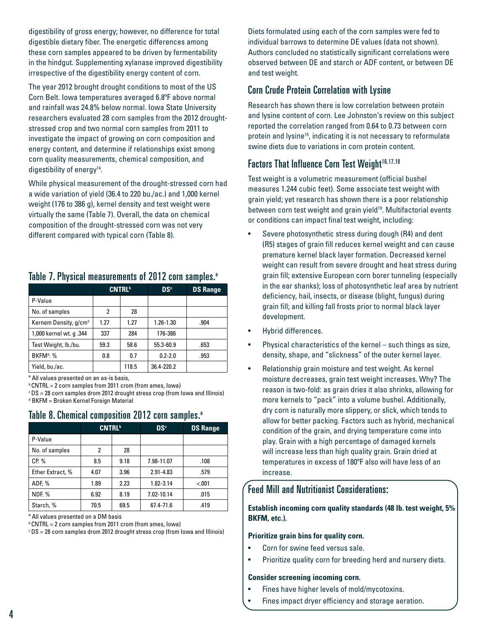digestibility of gross energy; however, no difference for total digestible dietary fiber. The energetic differences among these corn samples appeared to be driven by fermentability in the hindgut. Supplementing xylanase improved digestibility irrespective of the digestibility energy content of corn.

The year 2012 brought drought conditions to most of the US Corn Belt. Iowa temperatures averaged 6.8ºF above normal and rainfall was 24.8% below normal. Iowa State University researchers evaluated 28 corn samples from the 2012 droughtstressed crop and two normal corn samples from 2011 to investigate the impact of growing on corn composition and energy content, and determine if relationships exist among corn quality measurements, chemical composition, and digestibility of energy<sup>14</sup>.

While physical measurement of the drought-stressed corn had a wide variation of yield (36.4 to 220 bu./ac.) and 1,000 kernel weight (176 to 386 g), kernel density and test weight were virtually the same (Table 7). Overall, the data on chemical composition of the drought-stressed corn was not very different compared with typical corn (Table 8).

|                                   | <b>CNTRL</b> <sup>b</sup> |       | D <sub>S</sub> <sup>c</sup> | <b>DS Range</b> |
|-----------------------------------|---------------------------|-------|-----------------------------|-----------------|
| P-Value                           |                           |       |                             |                 |
| No. of samples                    | 2                         | 28    |                             |                 |
| Kernem Density, g/cm <sup>3</sup> | 1.27                      | 1.27  | $1.26 - 1.30$               | .904            |
| 1,000 kernel wt. q .344           | 337                       | 284   | 176-386                     |                 |
| Test Weight, lb./bu.              | 59.3                      | 58.6  | 55.3-60.9                   | .653            |
| BKFM <sup>d</sup> , %             | 0.8                       | 0.7   | $0.2 - 2.0$                 | .953            |
| Yield, bu./ac.                    |                           | 118.5 | 36.4-220.2                  |                 |

# Table 7. Physical measurements of 2012 corn samples.<sup>a</sup>

ª All values presented on an as-is basis,

b CNTRL = 2 corn samples from 2011 crom (from ames, Iowa)

c DS = 28 corn samples drom 2012 drought stress crop (from Iowa and Illinois) d BKFM = Broken Kernel Foreign Material

|                  | <b>CNTRL</b> <sup>b</sup> |      | D <sub>S</sub> <sup>c</sup> | <b>DS Range</b> |  |  |
|------------------|---------------------------|------|-----------------------------|-----------------|--|--|
| P-Value          |                           |      |                             |                 |  |  |
| No. of samples   | 2                         | 28   |                             |                 |  |  |
| $CP. \%$         | 8.5                       | 9.18 | 7.98-11.07                  | .108            |  |  |
| Ether Extract, % | 4.07                      | 3.96 | 2.91-4.83                   | .579            |  |  |
| ADF, %           | 1.89                      | 2.23 | 1.82-3.14                   | < .001          |  |  |
| <b>NDF. %</b>    | 6.92                      | 8.19 | 7.02-10.14                  | .015            |  |  |
| Starch, %        | 70.5                      | 69.5 | 67.4-71.6                   | .419            |  |  |

# Table 8. Chemical composition 2012 corn samples.<sup>a</sup>

ª All values presented on a DM basis

b CNTRL = 2 corn samples from 2011 crom (from ames, Iowa)

c DS = 28 corn samples drom 2012 drought stress crop (from Iowa and Illinois)

Diets formulated using each of the corn samples were fed to individual barrows to determine DE values (data not shown). Authors concluded no statistically significant correlations were observed between DE and starch or ADF content, or between DE and test weight.

# Corn Crude Protein Correlation with Lysine

Research has shown there is low correlation between protein and lysine content of corn. Lee Johnston's review on this subject reported the correlation ranged from 0.64 to 0.73 between corn protein and lysine<sup>15</sup>, indicating it is not necessary to reformulate swine diets due to variations in corn protein content.

# Factors That Influence Corn Test Weight<sup>16,17,18</sup>

Test weight is a volumetric measurement (official bushel measures 1.244 cubic feet). Some associate test weight with grain yield; yet research has shown there is a poor relationship between corn test weight and grain yield<sup>19</sup>. Multifactorial events or conditions can impact final test weight, including:

- Severe photosynthetic stress during dough (R4) and dent (R5) stages of grain fill reduces kernel weight and can cause premature kernel black layer formation. Decreased kernel weight can result from severe drought and heat stress during grain fill; extensive European corn borer tunneling (especially in the ear shanks); loss of photosynthetic leaf area by nutrient deficiency, hail, insects, or disease (blight, fungus) during grain fill; and killing fall frosts prior to normal black layer development.
- Hybrid differences.
- Physical characteristics of the kernel such things as size, density, shape, and "slickness" of the outer kernel layer.
- Relationship grain moisture and test weight. As kernel moisture decreases, grain test weight increases. Why? The reason is two-fold: as grain dries it also shrinks, allowing for more kernels to "pack" into a volume bushel. Additionally, dry corn is naturally more slippery, or slick, which tends to allow for better packing. Factors such as hybrid, mechanical condition of the grain, and drying temperature come into play. Grain with a high percentage of damaged kernels will increase less than high quality grain. Grain dried at temperatures in excess of 180ºF also will have less of an increase.

# Feed Mill and Nutritionist Considerations:

#### **Establish incoming corn quality standards (48 lb. test weight, 5% BKFM, etc.).**

#### **Prioritize grain bins for quality corn.**

- Corn for swine feed versus sale.
- Prioritize quality corn for breeding herd and nursery diets.

#### **Consider screening incoming corn.**

- Fines have higher levels of mold/mycotoxins.
- Fines impact dryer efficiency and storage aeration.